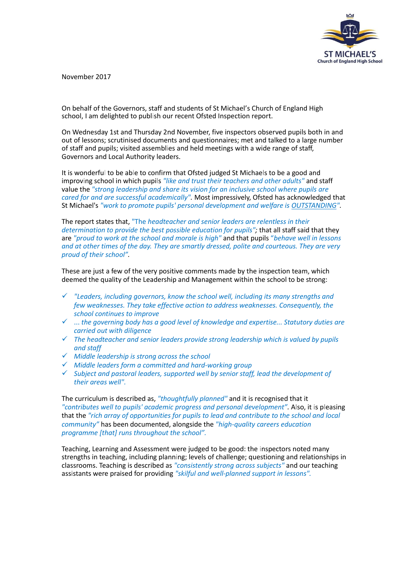

November 2017

On behalf of the Governors, staff and students of St Michael's Church of England High school, I am delighted to publish our recent Ofsted Inspection report.

On Wednesday 1st and Thursday 2nd November, five inspectors observed pupils both in and out of lessons; scrutinised documents and questionnaires; met and talked to a large number of staff and pupils; visited assemblies and held meetings with a wide range of staff, Governors and Local Authority leaders.

It is wonderful to be able to confirm that Ofsted judged St Michaels to be a good and improving school in which pupils *"like and trust their teachers and other adults"* and staff value the *"strong leadership and share its vision for an inclusive school where pupils are cared for and are successful academically".* Most impressively, Ofsted has acknowledged that St Michael's *"work to promote pupils' personal development and welfare is OUTSTANDING".*

The report states that, "The *headteacher and senior leaders are relentless in their determination to provide the best possible education for pupils";* that all staff said that they are *"proud to work at the school and morale is high"* and that pupils "*behave well in lessons and at other times of the day. They are smartly dressed, polite and courteous. They are very proud of their school".*

These are just a few of the very positive comments made by the inspection team, which deemed the quality of the Leadership and Management within the school to be strong:

- *"Leaders, including governors, know the school well, including its many strengths and few weaknesses. They take effective action to address weaknesses. Consequently, the school continues to improve*
- ... *the governing body has a good level of knowledge and expertise... Statutory duties are carried out with diligence*
- *The headteacher and senior leaders provide strong leadership which is valued by pupils and staff*
- *Middle leadership is strong across the school*
- *Middle leaders form a committed and hard-working group*
- *Subject and pastoral leaders, supported well by senior staff, lead the development of their areas well".*

The curriculum is described as, *"thoughtfully planned"* and it is recognised that it *"contributes well to pupils' academic progress and personal development".* Also, it is pleasing that the *"rich array of opportunities for pupils to lead and contribute to the school and local community"* has been documented, alongside the *"high-quality careers education programme [that] runs throughout the school".*

Teaching, Learning and Assessment were judged to be good: the inspectors noted many strengths in teaching, including planning; levels of challenge; questioning and relationships in classrooms. Teaching is described as *"consistently strong across subjects"* and our teaching assistants were praised for providing *"skilful and well-planned support in lessons".*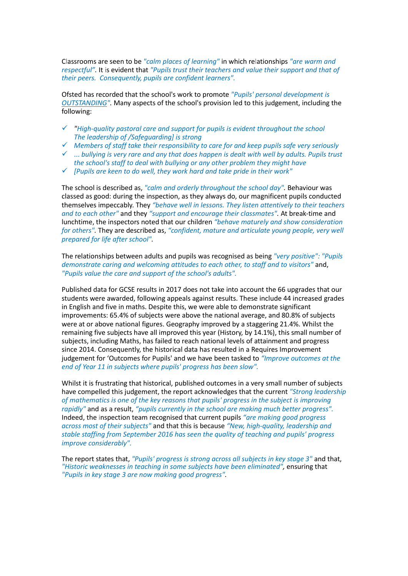Classrooms are seen to be *"calm places of learning"* in which relationships *"are warm and respectful".* It is evident that *"Pupils trust their teachers and value their support and that of their peers. Consequently, pupils are confident learners".*

Ofsted has recorded that the school's work to promote *"Pupils' personal development is OUTSTANDING".* Many aspects of the school's provision led to this judgement, including the following:

- *"High-quality pastoral care and support for pupils is evident throughout the school The leadership of /Safeguarding] is strong*
- *Members of staff take their responsibility to care for and keep pupils safe very seriously*
- ... *bullying is very rare and any that does happen is dealt with well by adults. Pupils trust the school's staff to deal with bullying or any other problem they might have*
- *[Pupils are keen to do well, they work hard and take pride in their work"*

The school is described as, *"calm and orderly throughout the school day".* Behaviour was classed as good: during the inspection, as they always do, our magnificent pupils conducted themselves impeccably. They *"behave well in lessons. They listen attentively to their teachers and to each other"* and they *"support and encourage their classmates".* At break-time and lunchtime, the inspectors noted that our children *"behave maturely and show consideration for others".* They are described as, *"confident, mature and articulate young people, very well prepared for life after school".*

The relationships between adults and pupils was recognised as being *"very positive": "Pupils demonstrate caring and welcoming attitudes to each other, to staff and to visitors"* and, *"Pupils value the care and support of the school's adults".*

Published data for GCSE results in 2017 does not take into account the 66 upgrades that our students were awarded, following appeals against results. These include 44 increased grades in English and five in maths. Despite this, we were able to demonstrate significant improvements: 65.4% of subjects were above the national average, and 80.8% of subjects were at or above national figures. Geography improved by a staggering 21.4%. Whilst the remaining five subjects have all improved this year (History, by 14.1%), this small number of subjects, including Maths, has failed to reach national levels of attainment and progress since 2014. Consequently, the historical data has resulted in a Requires Improvement judgement for 'Outcomes for Pupils' and we have been tasked to *"Improve outcomes at the end of Year 11 in subjects where pupils' progress has been slow".*

Whilst it is frustrating that historical, published outcomes in a very small number of subjects have compelled this judgement, the report acknowledges that the current *"Strong leadership of mathematics is one of the key reasons that pupils' progress in the subject is improving rapidly"* and as a result, *"pupils currently in the school are making much better progress".*  Indeed, the inspection team recognised that current pupils *"are making good progress across most of their subjects"* and that this is because *"New, high-quality, leadership and stable staffing from September 2016 has seen the quality of teaching and pupils' progress improve considerably".*

The report states that, *"Pupils' progress is strong across all subjects in key stage 3"* and that, *"Historic weaknesses in teaching in some subjects have been eliminated",* ensuring that *"Pupils in key stage 3 are now making good progress".*